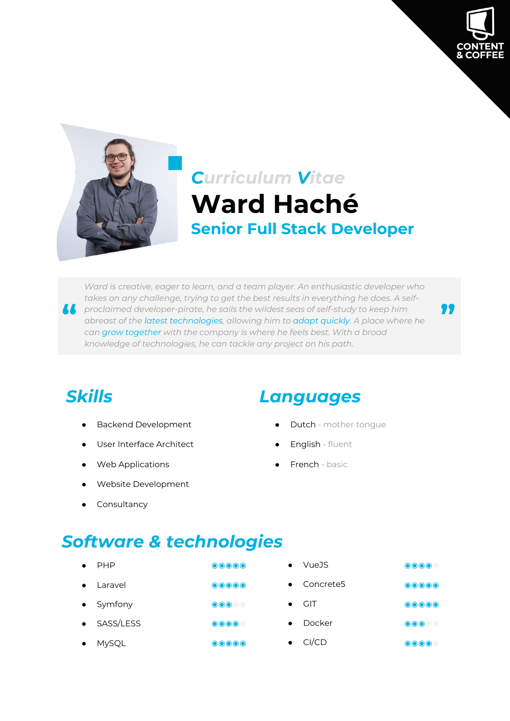

**"**



# *Curriculum Vitae* **Ward Haché Senior Full Stack Developer**

**1** proclaimed developer-pirate, he sails the wildest seas of self-study to keep him abreast of the latest technologies, allowing him to adapt quickly. A place where can arow together with the company is where he feels hes *Ward is creative, eager to learn, and a team player. An enthusiastic developer who takes on any challenge, trying to get the best results in everything he does. A selfabreast of the latest technologies, allowing him to adapt quickly. A place where he can grow together with the company is where he feels best. With a broad knowledge of technologies, he can tackle any project on his path.*

- 
- User Interface Architect **and Contact Architect Contact Architect Contact Architect Contact Architect Contact Architect Contact Architect Contact Architect Contact Architect Contact Architect Contact Arch**
- Web Applications **Accord Accord Accord Accord Accord Accord Accord Accord Accord Accord Accord Accord Accord Accord Accord Accord Accord Accord Accord Accord Accord Accord Accord Accord Accord Accord Accord Accord Accord A**
- Website Development
- Consultancy

### *Skills Languages*

- Backend Development **and a state of the United States** Dutch mother tongue
	-
	-

# *Software & technologies*

|           | <b>PHP</b>   | $\bigcirc$ $\bigcirc$ $\bigcirc$ $\bigcirc$ | VueJS                 | $\bigcirc$ $\bigcirc$ $\bigcirc$      |
|-----------|--------------|---------------------------------------------|-----------------------|---------------------------------------|
| $\bullet$ | Laravel      | $\bigcirc$ $\bigcirc$ $\bigcirc$ $\bigcirc$ | Concrete <sub>5</sub> | $\bullet\bullet\bullet\bullet\bullet$ |
|           | • Symfony    | $\bullet\bullet\bullet\bullet\bullet$       | <b>GIT</b>            | $\odot\odot\odot\odot$                |
| $\bullet$ | SASS/LESS    | $\bigcirc$ $\bigcirc$ $\bigcirc$            | Docker                | $\odot\odot\odot$                     |
|           | <b>MySQL</b> | $\bullet\bullet\bullet\bullet\bullet$       | CI/CD                 | $\bigcirc$ $\bigcirc$ $\bigcirc$      |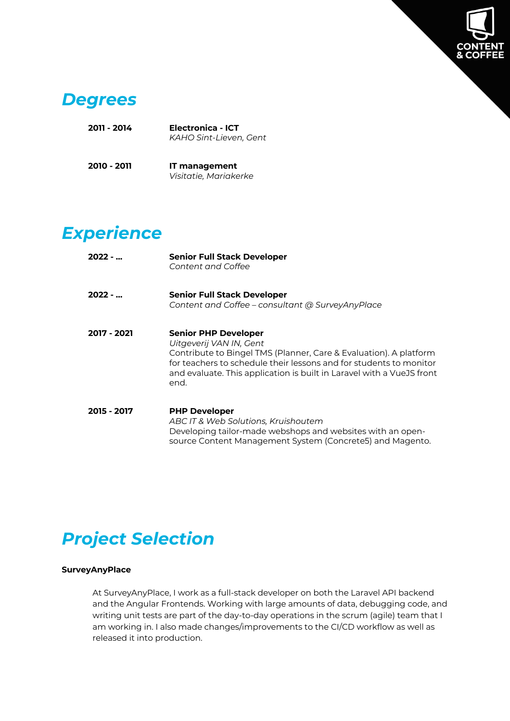

### *Degrees*

| Electronica - ICT      |  |  |  |
|------------------------|--|--|--|
| KAHO Sint-Lieven, Gent |  |  |  |
|                        |  |  |  |
|                        |  |  |  |

| 2010 - 2011 | IT management         |  |  |  |  |
|-------------|-----------------------|--|--|--|--|
|             | Visitatie, Mariakerke |  |  |  |  |

# *Experience*

| $2022 - $   | <b>Senior Full Stack Developer</b><br>Content and Coffee                                                                                                                                                                                                                           |
|-------------|------------------------------------------------------------------------------------------------------------------------------------------------------------------------------------------------------------------------------------------------------------------------------------|
| $2022 - $   | <b>Senior Full Stack Developer</b><br>Content and Coffee - consultant @ SurveyAnyPlace                                                                                                                                                                                             |
| 2017 - 2021 | <b>Senior PHP Developer</b><br>Uitgeverij VAN IN, Gent<br>Contribute to Bingel TMS (Planner, Care & Evaluation). A platform<br>for teachers to schedule their lessons and for students to monitor<br>and evaluate. This application is built in Laravel with a VueJS front<br>end. |
| 2015 - 2017 | <b>PHP Developer</b><br>ABC IT & Web Solutions, Kruishoutem<br>Developing tailor-made webshops and websites with an open-<br>source Content Management System (Concrete5) and Magento.                                                                                             |

# *Project Selection*

### **SurveyAnyPlace**

At SurveyAnyPlace, I work as a full-stack developer on both the Laravel API backend and the Angular Frontends. Working with large amounts of data, debugging code, and writing unit tests are part of the day-to-day operations in the scrum (agile) team that I am working in. I also made changes/improvements to the CI/CD workflow as well as released it into production.